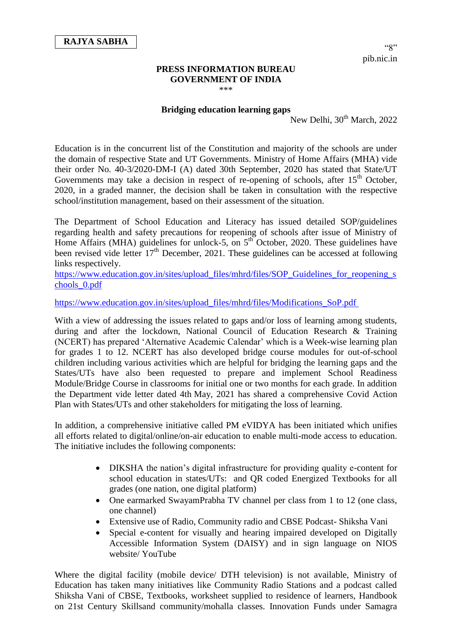## **PRESS INFORMATION BUREAU GOVERNMENT OF INDIA** \*\*\*

## **Bridging education learning gaps**

New Delhi,  $30^{th}$  March, 2022

Education is in the concurrent list of the Constitution and majority of the schools are under the domain of respective State and UT Governments. Ministry of Home Affairs (MHA) vide their order No. 40-3/2020-DM-I (A) dated 30th September, 2020 has stated that State/UT Governments may take a decision in respect of re-opening of schools, after  $15<sup>th</sup>$  October, 2020, in a graded manner, the decision shall be taken in consultation with the respective school/institution management, based on their assessment of the situation.

The Department of School Education and Literacy has issued detailed SOP/guidelines regarding health and safety precautions for reopening of schools after issue of Ministry of Home Affairs (MHA) guidelines for unlock-5, on  $5<sup>th</sup>$  October, 2020. These guidelines have been revised vide letter  $17<sup>th</sup>$  December, 2021. These guidelines can be accessed at following links respectively.

[https://www.education.gov.in/sites/upload\\_files/mhrd/files/SOP\\_Guidelines\\_for\\_reopening\\_s](https://www.education.gov.in/sites/upload_files/mhrd/files/SOP_Guidelines_for_reopening_schools_0.pdf) [chools\\_0.pdf](https://www.education.gov.in/sites/upload_files/mhrd/files/SOP_Guidelines_for_reopening_schools_0.pdf)

[https://www.education.gov.in/sites/upload\\_files/mhrd/files/Modifications\\_SoP.pdf](https://www.education.gov.in/sites/upload_files/mhrd/files/Modifications_SoP.pdf)

With a view of addressing the issues related to gaps and/or loss of learning among students, during and after the lockdown, National Council of Education Research & Training (NCERT) has prepared 'Alternative Academic Calendar' which is a Week-wise learning plan for grades 1 to 12. NCERT has also developed bridge course modules for out-of-school children including various activities which are helpful for bridging the learning gaps and the States/UTs have also been requested to prepare and implement School Readiness Module/Bridge Course in classrooms for initial one or two months for each grade. In addition the Department vide letter dated 4th May, 2021 has shared a comprehensive Covid Action Plan with States/UTs and other stakeholders for mitigating the loss of learning.

In addition, a comprehensive initiative called PM eVIDYA has been initiated which unifies all efforts related to digital/online/on-air education to enable multi-mode access to education. The initiative includes the following components:

- DIKSHA the nation's digital infrastructure for providing quality e-content for school education in states/UTs: and QR coded Energized Textbooks for all grades (one nation, one digital platform)
- One earmarked SwayamPrabha TV channel per class from 1 to 12 (one class, one channel)
- Extensive use of Radio, Community radio and CBSE Podcast- Shiksha Vani
- Special e-content for visually and hearing impaired developed on Digitally Accessible Information System (DAISY) and in sign language on NIOS website/ YouTube

Where the digital facility (mobile device/ DTH television) is not available, Ministry of Education has taken many initiatives like Community Radio Stations and a podcast called Shiksha Vani of CBSE, Textbooks, worksheet supplied to residence of learners, Handbook on 21st Century Skillsand community/mohalla classes. Innovation Funds under Samagra